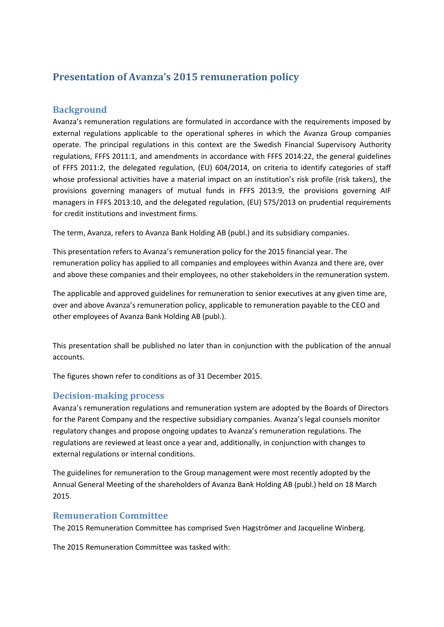# **Presentation of Avanza's 2015 remuneration policy**

### **Background**

Avanza's remuneration regulations are formulated in accordance with the requirements imposed by external regulations applicable to the operational spheres in which the Avanza Group companies operate. The principal regulations in this context are the Swedish Financial Supervisory Authority regulations, FFFS 2011:1, and amendments in accordance with FFFS 2014:22, the general guidelines of FFFS 2011:2, the delegated regulation, (EU) 604/2014, on criteria to identify categories of staff whose professional activities have a material impact on an institution's risk profile (risk takers), the provisions governing managers of mutual funds in FFFS 2013:9, the provisions governing AIF managers in FFFS 2013:10, and the delegated regulation, (EU) 575/2013 on prudential requirements for credit institutions and investment firms.

The term, Avanza, refers to Avanza Bank Holding AB (publ.) and its subsidiary companies.

This presentation refers to Avanza's remuneration policy for the 2015 financial year. The remuneration policy has applied to all companies and employees within Avanza and there are, over and above these companies and their employees, no other stakeholders in the remuneration system.

The applicable and approved guidelines for remuneration to senior executives at any given time are, over and above Avanza's remuneration policy, applicable to remuneration payable to the CEO and other employees of Avanza Bank Holding AB (publ.).

This presentation shall be published no later than in conjunction with the publication of the annual accounts.

The figures shown refer to conditions as of 31 December 2015.

#### **Decision-making process**

Avanza's remuneration regulations and remuneration system are adopted by the Boards of Directors for the Parent Company and the respective subsidiary companies. Avanza's legal counsels monitor regulatory changes and propose ongoing updates to Avanza's remuneration regulations. The regulations are reviewed at least once a year and, additionally, in conjunction with changes to external regulations or internal conditions.

The guidelines for remuneration to the Group management were most recently adopted by the Annual General Meeting of the shareholders of Avanza Bank Holding AB (publ.) held on 18 March 2015.

#### **Remuneration Committee**

The 2015 Remuneration Committee has comprised Sven Hagströmer and Jacqueline Winberg.

The 2015 Remuneration Committee was tasked with: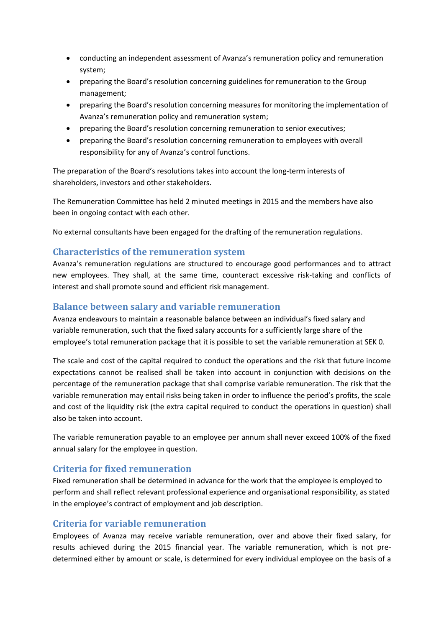- conducting an independent assessment of Avanza's remuneration policy and remuneration system;
- preparing the Board's resolution concerning guidelines for remuneration to the Group management;
- preparing the Board's resolution concerning measures for monitoring the implementation of Avanza's remuneration policy and remuneration system;
- preparing the Board's resolution concerning remuneration to senior executives;
- preparing the Board's resolution concerning remuneration to employees with overall responsibility for any of Avanza's control functions.

The preparation of the Board's resolutions takes into account the long-term interests of shareholders, investors and other stakeholders.

The Remuneration Committee has held 2 minuted meetings in 2015 and the members have also been in ongoing contact with each other.

No external consultants have been engaged for the drafting of the remuneration regulations.

#### **Characteristics of the remuneration system**

Avanza's remuneration regulations are structured to encourage good performances and to attract new employees. They shall, at the same time, counteract excessive risk-taking and conflicts of interest and shall promote sound and efficient risk management.

#### **Balance between salary and variable remuneration**

Avanza endeavours to maintain a reasonable balance between an individual's fixed salary and variable remuneration, such that the fixed salary accounts for a sufficiently large share of the employee's total remuneration package that it is possible to set the variable remuneration at SEK 0.

The scale and cost of the capital required to conduct the operations and the risk that future income expectations cannot be realised shall be taken into account in conjunction with decisions on the percentage of the remuneration package that shall comprise variable remuneration. The risk that the variable remuneration may entail risks being taken in order to influence the period's profits, the scale and cost of the liquidity risk (the extra capital required to conduct the operations in question) shall also be taken into account.

The variable remuneration payable to an employee per annum shall never exceed 100% of the fixed annual salary for the employee in question.

#### **Criteria for fixed remuneration**

Fixed remuneration shall be determined in advance for the work that the employee is employed to perform and shall reflect relevant professional experience and organisational responsibility, as stated in the employee's contract of employment and job description.

#### **Criteria for variable remuneration**

Employees of Avanza may receive variable remuneration, over and above their fixed salary, for results achieved during the 2015 financial year. The variable remuneration, which is not predetermined either by amount or scale, is determined for every individual employee on the basis of a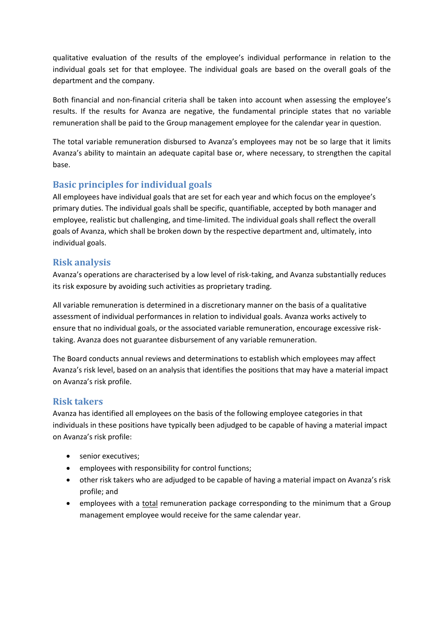qualitative evaluation of the results of the employee's individual performance in relation to the individual goals set for that employee. The individual goals are based on the overall goals of the department and the company.

Both financial and non-financial criteria shall be taken into account when assessing the employee's results. If the results for Avanza are negative, the fundamental principle states that no variable remuneration shall be paid to the Group management employee for the calendar year in question.

The total variable remuneration disbursed to Avanza's employees may not be so large that it limits Avanza's ability to maintain an adequate capital base or, where necessary, to strengthen the capital base.

## **Basic principles for individual goals**

All employees have individual goals that are set for each year and which focus on the employee's primary duties. The individual goals shall be specific, quantifiable, accepted by both manager and employee, realistic but challenging, and time-limited. The individual goals shall reflect the overall goals of Avanza, which shall be broken down by the respective department and, ultimately, into individual goals.

## **Risk analysis**

Avanza's operations are characterised by a low level of risk-taking, and Avanza substantially reduces its risk exposure by avoiding such activities as proprietary trading.

All variable remuneration is determined in a discretionary manner on the basis of a qualitative assessment of individual performances in relation to individual goals. Avanza works actively to ensure that no individual goals, or the associated variable remuneration, encourage excessive risktaking. Avanza does not guarantee disbursement of any variable remuneration.

The Board conducts annual reviews and determinations to establish which employees may affect Avanza's risk level, based on an analysis that identifies the positions that may have a material impact on Avanza's risk profile.

## **Risk takers**

Avanza has identified all employees on the basis of the following employee categories in that individuals in these positions have typically been adjudged to be capable of having a material impact on Avanza's risk profile:

- senior executives;
- employees with responsibility for control functions;
- other risk takers who are adjudged to be capable of having a material impact on Avanza's risk profile; and
- employees with a total remuneration package corresponding to the minimum that a Group management employee would receive for the same calendar year.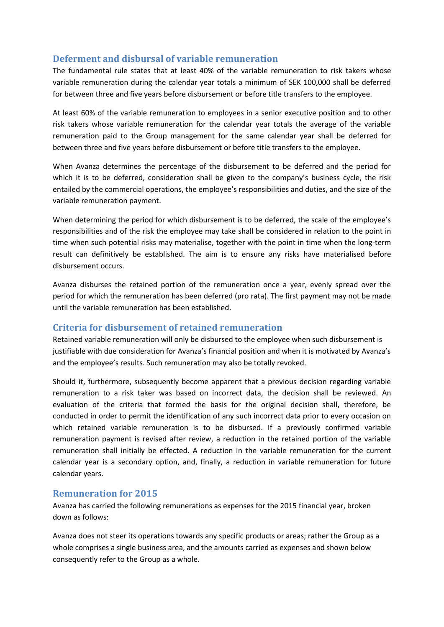## **Deferment and disbursal of variable remuneration**

The fundamental rule states that at least 40% of the variable remuneration to risk takers whose variable remuneration during the calendar year totals a minimum of SEK 100,000 shall be deferred for between three and five years before disbursement or before title transfers to the employee.

At least 60% of the variable remuneration to employees in a senior executive position and to other risk takers whose variable remuneration for the calendar year totals the average of the variable remuneration paid to the Group management for the same calendar year shall be deferred for between three and five years before disbursement or before title transfers to the employee.

When Avanza determines the percentage of the disbursement to be deferred and the period for which it is to be deferred, consideration shall be given to the company's business cycle, the risk entailed by the commercial operations, the employee's responsibilities and duties, and the size of the variable remuneration payment.

When determining the period for which disbursement is to be deferred, the scale of the employee's responsibilities and of the risk the employee may take shall be considered in relation to the point in time when such potential risks may materialise, together with the point in time when the long-term result can definitively be established. The aim is to ensure any risks have materialised before disbursement occurs.

Avanza disburses the retained portion of the remuneration once a year, evenly spread over the period for which the remuneration has been deferred (pro rata). The first payment may not be made until the variable remuneration has been established.

#### **Criteria for disbursement of retained remuneration**

Retained variable remuneration will only be disbursed to the employee when such disbursement is justifiable with due consideration for Avanza's financial position and when it is motivated by Avanza's and the employee's results. Such remuneration may also be totally revoked.

Should it, furthermore, subsequently become apparent that a previous decision regarding variable remuneration to a risk taker was based on incorrect data, the decision shall be reviewed. An evaluation of the criteria that formed the basis for the original decision shall, therefore, be conducted in order to permit the identification of any such incorrect data prior to every occasion on which retained variable remuneration is to be disbursed. If a previously confirmed variable remuneration payment is revised after review, a reduction in the retained portion of the variable remuneration shall initially be effected. A reduction in the variable remuneration for the current calendar year is a secondary option, and, finally, a reduction in variable remuneration for future calendar years.

#### **Remuneration for 2015**

Avanza has carried the following remunerations as expenses for the 2015 financial year, broken down as follows:

Avanza does not steer its operations towards any specific products or areas; rather the Group as a whole comprises a single business area, and the amounts carried as expenses and shown below consequently refer to the Group as a whole.